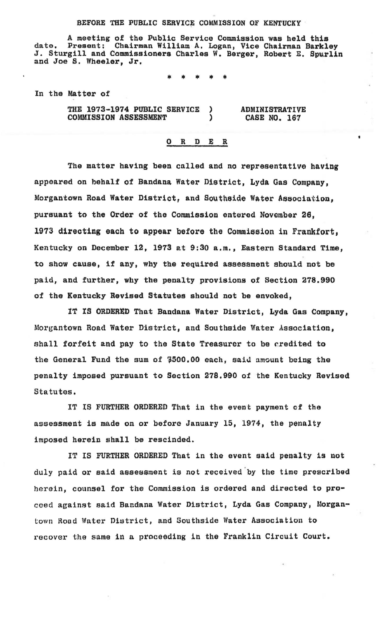## BEFORE THE PUBLIC SERVICE COMMISSION OF KENTUCKY

A meeting of the Public Service Commission was held this<br>Present: Chairman William A. Logan, Vice Chairman Barkley date. Present: Chairman William A. Logan, Vice Chairman Barkley<br>J. Sturgill and Commissioners Charles W. Berger, Robert E. Spurlin<br>and Joe S. Wheeler, Jr.

\* \* \* \* \*

In the Matter of

THE 1973-1974 PUBLIC SERVICE  $\lambda$ ADMINISTRATIVE COMMISSION ASSESSMENT ï CASE NO. 167

## 0 R D E R

The matter having been called and no representative having appeared on behalf of Bandana Water District, Lyda Gas Company, Morgantown Road Water District, and Southside Water Association. pursuant to the Order of the Commission entered November 26, 1973 directing each to appear before the Commission in Frankfort, Kentucky on December 12, 1973 at 9:30a.m., Eastern Standard Time, to show cause, if any, why the required assessment should not be paid, and further, why the penalty provisions of Section 278.990 of the Kentucky Revised Statutes should not be envoked,

lT IS ORDERED That Bandana Water District, Lyda Gas Company, Morgantown Road Water District, and Southside Water Association, shall forfeit and pay to the State Treasurer to be credited to the General Fund the sum of \$500.00 each, said amount being the penalty imposed pursuant to Section 278,990 of the Kentucky Revised Statutes.

IT IS FURTHER ORDERED That in the event payment of the assessment is made on or before January 15, 1974, the penalty imposed herein shall be rescinded.

IT IS FURTHER ORDERED That in the event said penalty is not duly paid or said assessment is not received by the time prescribed herein, counsel for the Commission is ordered and directed to procoed against said Bandana Water District, Lyda Gas Company, Morgantown Rood Water District, and Southside Water Association to recover the same in a proceeding in the Franklin Circuit Court.